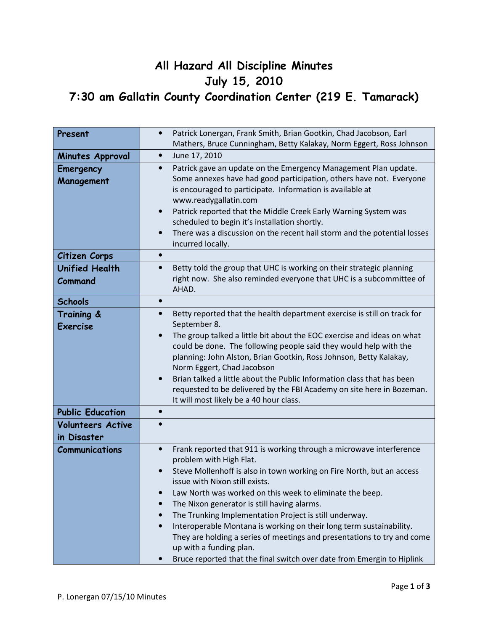## All Hazard All Discipline Minutes July 15, 2010 7:30 am Gallatin County Coordination Center (219 E. Tamarack)

| Present                                 | Patrick Lonergan, Frank Smith, Brian Gootkin, Chad Jacobson, Earl<br>$\bullet$<br>Mathers, Bruce Cunningham, Betty Kalakay, Norm Eggert, Ross Johnson                                                                                                                                                                                                                                                                                                                                                                                                                                                                                                                                                  |
|-----------------------------------------|--------------------------------------------------------------------------------------------------------------------------------------------------------------------------------------------------------------------------------------------------------------------------------------------------------------------------------------------------------------------------------------------------------------------------------------------------------------------------------------------------------------------------------------------------------------------------------------------------------------------------------------------------------------------------------------------------------|
| Minutes Approval                        | June 17, 2010<br>$\bullet$                                                                                                                                                                                                                                                                                                                                                                                                                                                                                                                                                                                                                                                                             |
| Emergency<br>Management                 | Patrick gave an update on the Emergency Management Plan update.<br>$\bullet$<br>Some annexes have had good participation, others have not. Everyone<br>is encouraged to participate. Information is available at<br>www.readygallatin.com<br>Patrick reported that the Middle Creek Early Warning System was<br>$\bullet$<br>scheduled to begin it's installation shortly.<br>There was a discussion on the recent hail storm and the potential losses<br>$\bullet$<br>incurred locally.                                                                                                                                                                                                               |
| Citizen Corps                           | $\bullet$                                                                                                                                                                                                                                                                                                                                                                                                                                                                                                                                                                                                                                                                                              |
| <b>Unified Health</b><br>Command        | Betty told the group that UHC is working on their strategic planning<br>$\bullet$<br>right now. She also reminded everyone that UHC is a subcommittee of<br>AHAD.                                                                                                                                                                                                                                                                                                                                                                                                                                                                                                                                      |
| <b>Schools</b>                          | $\bullet$                                                                                                                                                                                                                                                                                                                                                                                                                                                                                                                                                                                                                                                                                              |
| Training &<br><b>Exercise</b>           | Betty reported that the health department exercise is still on track for<br>$\bullet$<br>September 8.<br>The group talked a little bit about the EOC exercise and ideas on what<br>$\bullet$<br>could be done. The following people said they would help with the<br>planning: John Alston, Brian Gootkin, Ross Johnson, Betty Kalakay,<br>Norm Eggert, Chad Jacobson<br>Brian talked a little about the Public Information class that has been<br>$\bullet$<br>requested to be delivered by the FBI Academy on site here in Bozeman.<br>It will most likely be a 40 hour class.                                                                                                                       |
| <b>Public Education</b>                 | $\bullet$                                                                                                                                                                                                                                                                                                                                                                                                                                                                                                                                                                                                                                                                                              |
| <b>Volunteers Active</b><br>in Disaster |                                                                                                                                                                                                                                                                                                                                                                                                                                                                                                                                                                                                                                                                                                        |
| <b>Communications</b>                   | Frank reported that 911 is working through a microwave interference<br>$\bullet$<br>problem with High Flat.<br>Steve Mollenhoff is also in town working on Fire North, but an access<br>issue with Nixon still exists.<br>Law North was worked on this week to eliminate the beep.<br>$\bullet$<br>The Nixon generator is still having alarms.<br>$\bullet$<br>The Trunking Implementation Project is still underway.<br>$\bullet$<br>Interoperable Montana is working on their long term sustainability.<br>$\bullet$<br>They are holding a series of meetings and presentations to try and come<br>up with a funding plan.<br>Bruce reported that the final switch over date from Emergin to Hiplink |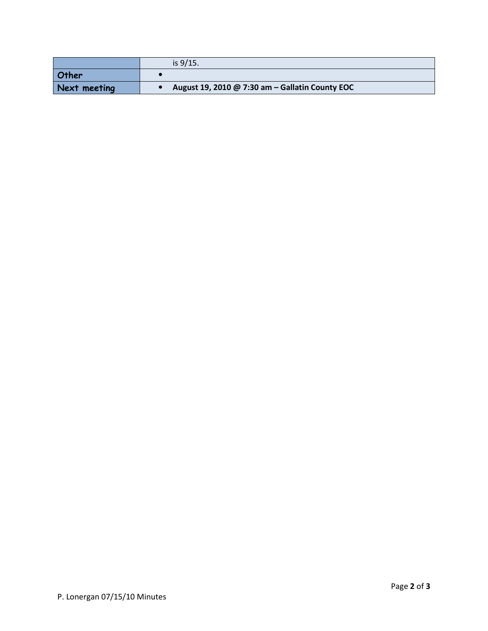|              | is $9/15$ .                                     |
|--------------|-------------------------------------------------|
| <b>Other</b> |                                                 |
| Next meeting | August 19, 2010 @ 7:30 am - Gallatin County EOC |